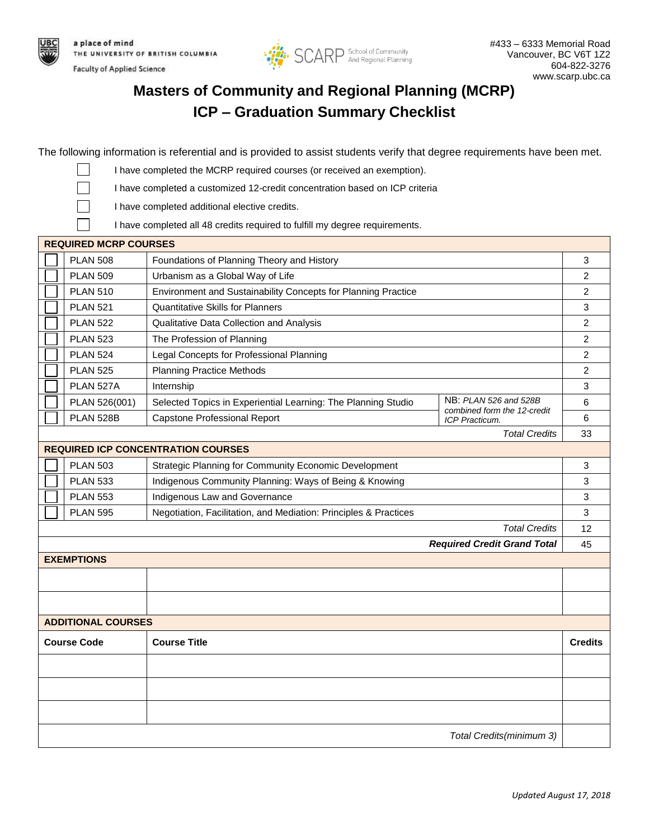

**Faculty of Applied Science** 



## **Masters of Community and Regional Planning (MCRP) ICP – Graduation Summary Checklist**

The following information is referential and is provided to assist students verify that degree requirements have been met.

I have completed the MCRP required courses (or received an exemption).

I have completed a customized 12-credit concentration based on ICP criteria

I have completed additional elective credits.

I have completed all 48 credits required to fulfill my degree requirements.

| <b>PLAN 508</b><br>Foundations of Planning Theory and History                                                                          | 3              |  |  |
|----------------------------------------------------------------------------------------------------------------------------------------|----------------|--|--|
| <b>PLAN 509</b><br>Urbanism as a Global Way of Life                                                                                    | $\overline{c}$ |  |  |
| <b>PLAN 510</b><br>Environment and Sustainability Concepts for Planning Practice                                                       | $\overline{2}$ |  |  |
| <b>Quantitative Skills for Planners</b><br><b>PLAN 521</b>                                                                             |                |  |  |
| <b>PLAN 522</b><br>Qualitative Data Collection and Analysis                                                                            |                |  |  |
| <b>PLAN 523</b><br>The Profession of Planning                                                                                          |                |  |  |
| <b>PLAN 524</b><br>Legal Concepts for Professional Planning                                                                            |                |  |  |
| <b>Planning Practice Methods</b><br><b>PLAN 525</b>                                                                                    |                |  |  |
| PLAN 527A<br>Internship                                                                                                                | 3              |  |  |
| NB: PLAN 526 and 528B<br>PLAN 526(001)<br>Selected Topics in Experiential Learning: The Planning Studio<br>combined form the 12-credit | 6              |  |  |
| <b>PLAN 528B</b><br>Capstone Professional Report<br>ICP Practicum.                                                                     | 6              |  |  |
| <b>Total Credits</b>                                                                                                                   | 33             |  |  |
| <b>REQUIRED ICP CONCENTRATION COURSES</b>                                                                                              |                |  |  |
| <b>PLAN 503</b><br>Strategic Planning for Community Economic Development                                                               | 3              |  |  |
| Indigenous Community Planning: Ways of Being & Knowing<br><b>PLAN 533</b>                                                              | 3              |  |  |
| <b>PLAN 553</b><br>Indigenous Law and Governance                                                                                       | 3              |  |  |
| <b>PLAN 595</b><br>Negotiation, Facilitation, and Mediation: Principles & Practices                                                    | 3              |  |  |
| <b>Total Credits</b>                                                                                                                   |                |  |  |
| <b>Required Credit Grand Total</b>                                                                                                     | 45             |  |  |
| <b>EXEMPTIONS</b>                                                                                                                      |                |  |  |
|                                                                                                                                        |                |  |  |
|                                                                                                                                        |                |  |  |
| <b>ADDITIONAL COURSES</b>                                                                                                              |                |  |  |
| <b>Course Title</b><br><b>Course Code</b>                                                                                              | <b>Credits</b> |  |  |
|                                                                                                                                        |                |  |  |
|                                                                                                                                        |                |  |  |
|                                                                                                                                        |                |  |  |
|                                                                                                                                        |                |  |  |
| Total Credits(minimum 3)                                                                                                               |                |  |  |